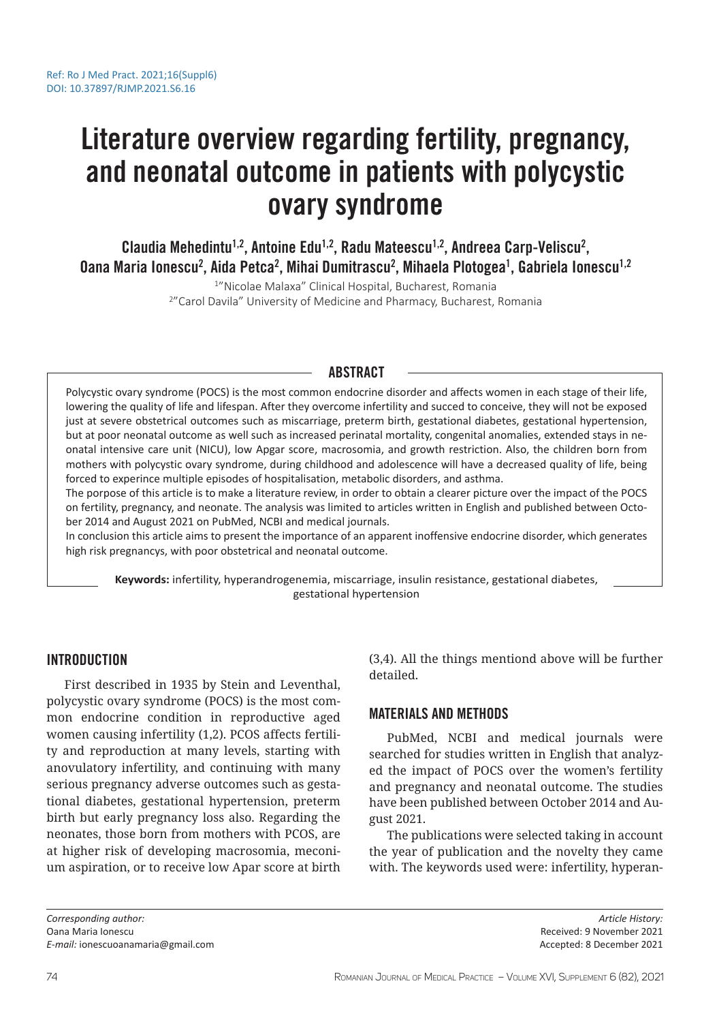# Literature overview regarding fertility, pregnancy, and neonatal outcome in patients with polycystic ovary syndrome

Claudia Mehedintu<sup>1,2</sup>, Antoine Edu<sup>1,2</sup>, Radu Mateescu<sup>1,2</sup>, Andreea Carp-Veliscu<sup>2</sup>, 0ana Maria Ionescu<sup>2</sup>, Aida Petca<sup>2</sup>, Mihai Dumitrascu<sup>2</sup>, Mihaela Plotogea<sup>1</sup>, Gabriela Ionescu<sup>1,2</sup>

> 1 "Nicolae Malaxa" Clinical Hospital, Bucharest, Romania 2 "Carol Davila" University of Medicine and Pharmacy, Bucharest, Romania

## ABSTRACT

Polycystic ovary syndrome (POCS) is the most common endocrine disorder and affects women in each stage of their life, lowering the quality of life and lifespan. After they overcome infertility and succed to conceive, they will not be exposed just at severe obstetrical outcomes such as miscarriage, preterm birth, gestational diabetes, gestational hypertension, but at poor neonatal outcome as well such as increased perinatal mortality, congenital anomalies, extended stays in neonatal intensive care unit (NICU), low Apgar score, macrosomia, and growth restriction. Also, the children born from mothers with polycystic ovary syndrome, during childhood and adolescence will have a decreased quality of life, being forced to experince multiple episodes of hospitalisation, metabolic disorders, and asthma.

The porpose of this article is to make a literature review, in order to obtain a clearer picture over the impact of the POCS on fertility, pregnancy, and neonate. The analysis was limited to articles written in English and published between October 2014 and August 2021 on PubMed, NCBI and medical journals.

In conclusion this article aims to present the importance of an apparent inoffensive endocrine disorder, which generates high risk pregnancys, with poor obstetrical and neonatal outcome.

**Keywords:** infertility, hyperandrogenemia, miscarriage, insulin resistance, gestational diabetes, gestational hypertension

## INTRODUCTION

First described in 1935 by Stein and Leventhal, polycystic ovary syndrome (POCS) is the most common endocrine condition in reproductive aged women causing infertility (1,2). PCOS affects fertility and reproduction at many levels, starting with anovulatory infertility, and continuing with many serious pregnancy adverse outcomes such as gestational diabetes, gestational hypertension, preterm birth but early pregnancy loss also. Regarding the neonates, those born from mothers with PCOS, are at higher risk of developing macrosomia, meconium aspiration, or to receive low Apar score at birth

(3,4). All the things mentiond above will be further detailed.

# MATERIALS AND METHODS

PubMed, NCBI and medical journals were searched for studies written in English that analyzed the impact of POCS over the women's fertility and pregnancy and neonatal outcome. The studies have been published between October 2014 and August 2021.

The publications were selected taking in account the year of publication and the novelty they came with. The keywords used were: infertility, hyperan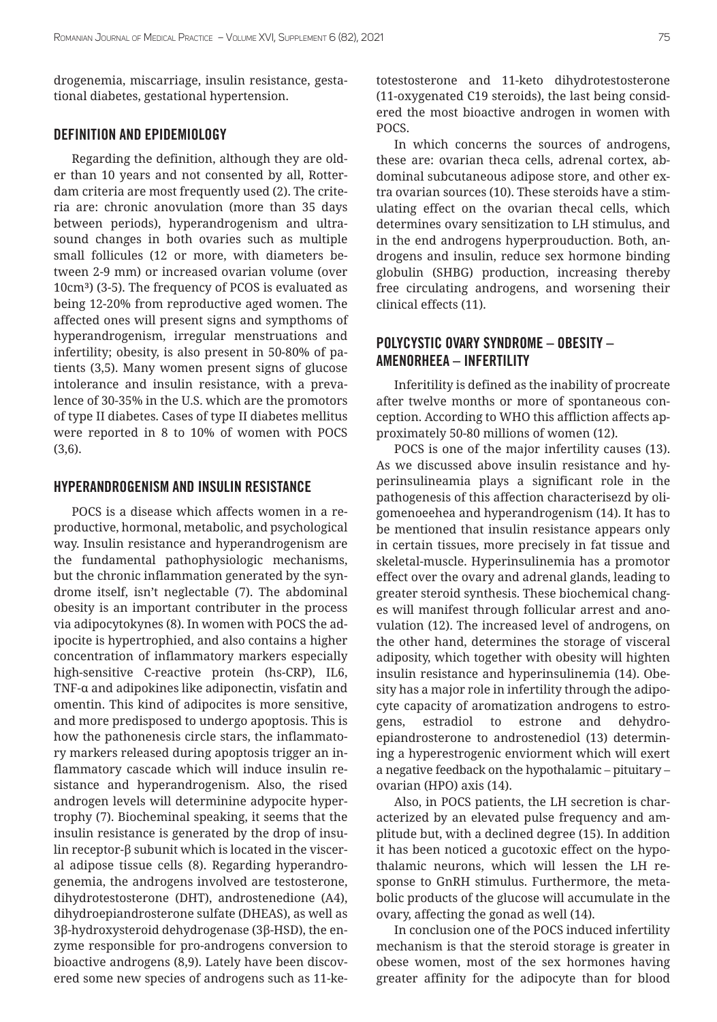drogenemia, miscarriage, insulin resistance, gestational diabetes, gestational hypertension.

## DEFINITION AND EPIDEMIOLOGY

Regarding the definition, although they are older than 10 years and not consented by all, Rotterdam criteria are most frequently used (2). The criteria are: chronic anovulation (more than 35 days between periods), hyperandrogenism and ultrasound changes in both ovaries such as multiple small follicules (12 or more, with diameters between 2-9 mm) or increased ovarian volume (over 10cm<sup>3</sup>) (3-5). The frequency of PCOS is evaluated as being 12-20% from reproductive aged women. The affected ones will present signs and sympthoms of hyperandrogenism, irregular menstruations and infertility; obesity, is also present in 50-80% of patients (3,5). Many women present signs of glucose intolerance and insulin resistance, with a prevalence of 30-35% in the U.S. which are the promotors of type II diabetes. Cases of type II diabetes mellitus were reported in 8 to 10% of women with POCS (3,6).

## HYPERANDROGENISM AND INSULIN RESISTANCE

POCS is a disease which affects women in a reproductive, hormonal, metabolic, and psychological way. Insulin resistance and hyperandrogenism are the fundamental pathophysiologic mechanisms, but the chronic inflammation generated by the syndrome itself, isn't neglectable (7). The abdominal obesity is an important contributer in the process via adipocytokynes (8). In women with POCS the adipocite is hypertrophied, and also contains a higher concentration of inflammatory markers especially high-sensitive C-reactive protein (hs-CRP), IL6, TNF-α and adipokines like adiponectin, visfatin and omentin. This kind of adipocites is more sensitive, and more predisposed to undergo apoptosis. This is how the pathonenesis circle stars, the inflammatory markers released during apoptosis trigger an inflammatory cascade which will induce insulin resistance and hyperandrogenism. Also, the rised androgen levels will determinine adypocite hypertrophy (7). Biocheminal speaking, it seems that the insulin resistance is generated by the drop of insulin receptor-β subunit which is located in the visceral adipose tissue cells (8). Regarding hyperandrogenemia, the androgens involved are testosterone, dihydrotestosterone (DHT), androstenedione (A4), dihydroepiandrosterone sulfate (DHEAS), as well as 3β-hydroxysteroid dehydrogenase (3β-HSD), the enzyme responsible for pro-androgens conversion to bioactive androgens (8,9). Lately have been discovered some new species of androgens such as 11-ketotestosterone and 11-keto dihydrotestosterone (11-oxygenated C19 steroids), the last being considered the most bioactive androgen in women with POCS.

In which concerns the sources of androgens, these are: ovarian theca cells, adrenal cortex, abdominal subcutaneous adipose store, and other extra ovarian sources (10). These steroids have a stimulating effect on the ovarian thecal cells, which determines ovary sensitization to LH stimulus, and in the end androgens hyperprouduction. Both, androgens and insulin, reduce sex hormone binding globulin (SHBG) production, increasing thereby free circulating androgens, and worsening their clinical effects (11).

# POLYCYSTIC OVARY SYNDROME – OBESITY – AMENORHEEA – INFERTILITY

Inferitility is defined as the inability of procreate after twelve months or more of spontaneous conception. According to WHO this affliction affects approximately 50-80 millions of women (12).

POCS is one of the major infertility causes (13). As we discussed above insulin resistance and hyperinsulineamia plays a significant role in the pathogenesis of this affection characterisezd by oligomenoeehea and hyperandrogenism (14). It has to be mentioned that insulin resistance appears only in certain tissues, more precisely in fat tissue and skeletal-muscle. Hyperinsulinemia has a promotor effect over the ovary and adrenal glands, leading to greater steroid synthesis. These biochemical changes will manifest through follicular arrest and anovulation (12). The increased level of androgens, on the other hand, determines the storage of visceral adiposity, which together with obesity will highten insulin resistance and hyperinsulinemia (14). Obesity has a major role in infertility through the adipocyte capacity of aromatization androgens to estrogens, estradiol to estrone and dehydroepiandrosterone to androstenediol (13) determining a hyperestrogenic enviorment which will exert a negative feedback on the hypothalamic – pituitary – ovarian (HPO) axis (14).

Also, in POCS patients, the LH secretion is characterized by an elevated pulse frequency and amplitude but, with a declined degree (15). In addition it has been noticed a gucotoxic effect on the hypothalamic neurons, which will lessen the LH response to GnRH stimulus. Furthermore, the metabolic products of the glucose will accumulate in the ovary, affecting the gonad as well (14).

In conclusion one of the POCS induced infertility mechanism is that the steroid storage is greater in obese women, most of the sex hormones having greater affinity for the adipocyte than for blood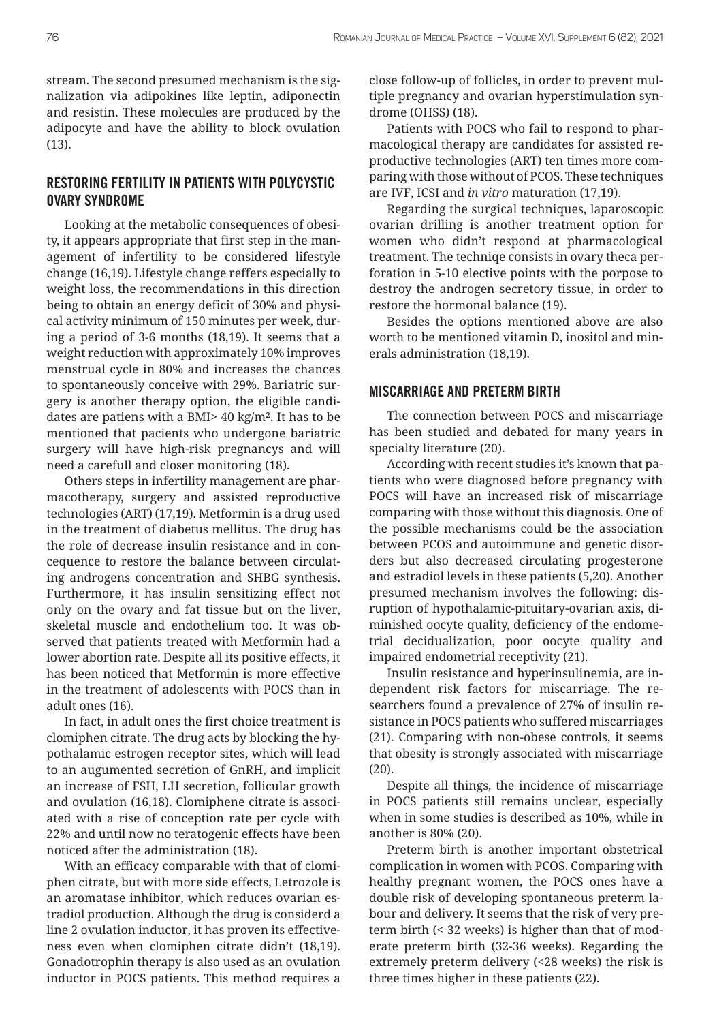stream. The second presumed mechanism is the signalization via adipokines like leptin, adiponectin and resistin. These molecules are produced by the adipocyte and have the ability to block ovulation (13).

# RESTORING FERTILITY IN PATIENTS WITH POLYCYSTIC OVARY SYNDROME

Looking at the metabolic consequences of obesity, it appears appropriate that first step in the management of infertility to be considered lifestyle change (16,19). Lifestyle change reffers especially to weight loss, the recommendations in this direction being to obtain an energy deficit of 30% and physical activity minimum of 150 minutes per week, during a period of 3-6 months (18,19). It seems that a weight reduction with approximately 10% improves menstrual cycle in 80% and increases the chances to spontaneously conceive with 29%. Bariatric surgery is another therapy option, the eligible candidates are patiens with a BMI> 40 kg/m². It has to be mentioned that pacients who undergone bariatric surgery will have high-risk pregnancys and will need a carefull and closer monitoring (18).

Others steps in infertility management are pharmacotherapy, surgery and assisted reproductive technologies (ART) (17,19). Metformin is a drug used in the treatment of diabetus mellitus. The drug has the role of decrease insulin resistance and in concequence to restore the balance between circulating androgens concentration and SHBG synthesis. Furthermore, it has insulin sensitizing effect not only on the ovary and fat tissue but on the liver, skeletal muscle and endothelium too. It was observed that patients treated with Metformin had a lower abortion rate. Despite all its positive effects, it has been noticed that Metformin is more effective in the treatment of adolescents with POCS than in adult ones (16).

In fact, in adult ones the first choice treatment is clomiphen citrate. The drug acts by blocking the hypothalamic estrogen receptor sites, which will lead to an augumented secretion of GnRH, and implicit an increase of FSH, LH secretion, follicular growth and ovulation (16,18). Clomiphene citrate is associated with a rise of conception rate per cycle with 22% and until now no teratogenic effects have been noticed after the administration (18).

With an efficacy comparable with that of clomiphen citrate, but with more side effects, Letrozole is an aromatase inhibitor, which reduces ovarian estradiol production. Although the drug is considerd a line 2 ovulation inductor, it has proven its effectiveness even when clomiphen citrate didn't (18,19). Gonadotrophin therapy is also used as an ovulation inductor in POCS patients. This method requires a close follow-up of follicles, in order to prevent multiple pregnancy and ovarian hyperstimulation syndrome (OHSS) (18).

Patients with POCS who fail to respond to pharmacological therapy are candidates for assisted reproductive technologies (ART) ten times more comparing with those without of PCOS. These techniques are IVF, ICSI and *in vitro* maturation (17,19).

Regarding the surgical techniques, laparoscopic ovarian drilling is another treatment option for women who didn't respond at pharmacological treatment. The techniqe consists in ovary theca perforation in 5-10 elective points with the porpose to destroy the androgen secretory tissue, in order to restore the hormonal balance (19).

Besides the options mentioned above are also worth to be mentioned vitamin D, inositol and minerals administration (18,19).

## MISCARRIAGE AND PRETERM BIRTH

The connection between POCS and miscarriage has been studied and debated for many years in specialty literature (20).

According with recent studies it's known that patients who were diagnosed before pregnancy with POCS will have an increased risk of miscarriage comparing with those without this diagnosis. One of the possible mechanisms could be the association between PCOS and autoimmune and genetic disorders but also decreased circulating progesterone and estradiol levels in these patients (5,20). Another presumed mechanism involves the following: disruption of hypothalamic-pituitary-ovarian axis, diminished oocyte quality, deficiency of the endometrial decidualization, poor oocyte quality and impaired endometrial receptivity (21).

Insulin resistance and hyperinsulinemia, are independent risk factors for miscarriage. The researchers found a prevalence of 27% of insulin resistance in POCS patients who suffered miscarriages (21). Comparing with non-obese controls, it seems that obesity is strongly associated with miscarriage (20).

Despite all things, the incidence of miscarriage in POCS patients still remains unclear, especially when in some studies is described as 10%, while in another is 80% (20).

Preterm birth is another important obstetrical complication in women with PCOS. Comparing with healthy pregnant women, the POCS ones have a double risk of developing spontaneous preterm labour and delivery. It seems that the risk of very preterm birth (< 32 weeks) is higher than that of moderate preterm birth (32-36 weeks). Regarding the extremely preterm delivery (<28 weeks) the risk is three times higher in these patients (22).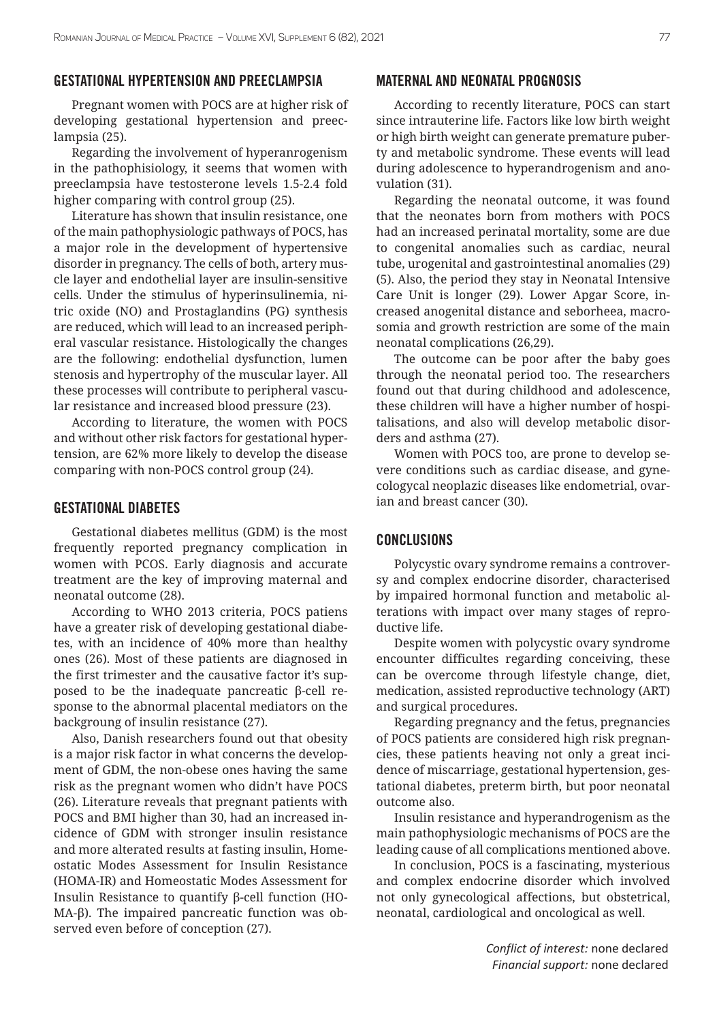#### GESTATIONAL HYPERTENSION AND PREECLAMPSIA

Pregnant women with POCS are at higher risk of developing gestational hypertension and preeclampsia (25).

Regarding the involvement of hyperanrogenism in the pathophisiology, it seems that women with preeclampsia have testosterone levels 1.5-2.4 fold higher comparing with control group (25).

Literature has shown that insulin resistance, one of the main pathophysiologic pathways of POCS, has a major role in the development of hypertensive disorder in pregnancy. The cells of both, artery muscle layer and endothelial layer are insulin-sensitive cells. Under the stimulus of hyperinsulinemia, nitric oxide (NO) and Prostaglandins (PG) synthesis are reduced, which will lead to an increased peripheral vascular resistance. Histologically the changes are the following: endothelial dysfunction, lumen stenosis and hypertrophy of the muscular layer. All these processes will contribute to peripheral vascular resistance and increased blood pressure (23).

According to literature, the women with POCS and without other risk factors for gestational hypertension, are 62% more likely to develop the disease comparing with non-POCS control group (24).

#### GESTATIONAL DIABETES

Gestational diabetes mellitus (GDM) is the most frequently reported pregnancy complication in women with PCOS. Early diagnosis and accurate treatment are the key of improving maternal and neonatal outcome (28).

According to WHO 2013 criteria, POCS patiens have a greater risk of developing gestational diabetes, with an incidence of 40% more than healthy ones (26). Most of these patients are diagnosed in the first trimester and the causative factor it's supposed to be the inadequate pancreatic β-cell response to the abnormal placental mediators on the backgroung of insulin resistance (27).

Also, Danish researchers found out that obesity is a major risk factor in what concerns the development of GDM, the non-obese ones having the same risk as the pregnant women who didn't have POCS (26). Literature reveals that pregnant patients with POCS and BMI higher than 30, had an increased incidence of GDM with stronger insulin resistance and more alterated results at fasting insulin, Homeostatic Modes Assessment for Insulin Resistance (HOMA-IR) and Homeostatic Modes Assessment for Insulin Resistance to quantify β-cell function (HO-MA-β). The impaired pancreatic function was observed even before of conception (27).

### MATERNAL AND NEONATAL PROGNOSIS

According to recently literature, POCS can start since intrauterine life. Factors like low birth weight or high birth weight can generate premature puberty and metabolic syndrome. These events will lead during adolescence to hyperandrogenism and anovulation (31).

Regarding the neonatal outcome, it was found that the neonates born from mothers with POCS had an increased perinatal mortality, some are due to congenital anomalies such as cardiac, neural tube, urogenital and gastrointestinal anomalies (29) (5). Also, the period they stay in Neonatal Intensive Care Unit is longer (29). Lower Apgar Score, increased anogenital distance and seborheea, macrosomia and growth restriction are some of the main neonatal complications (26,29).

The outcome can be poor after the baby goes through the neonatal period too. The researchers found out that during childhood and adolescence, these children will have a higher number of hospitalisations, and also will develop metabolic disorders and asthma (27).

Women with POCS too, are prone to develop severe conditions such as cardiac disease, and gynecologycal neoplazic diseases like endometrial, ovarian and breast cancer (30).

## CONCLUSIONS

Polycystic ovary syndrome remains a controversy and complex endocrine disorder, characterised by impaired hormonal function and metabolic alterations with impact over many stages of reproductive life.

Despite women with polycystic ovary syndrome encounter difficultes regarding conceiving, these can be overcome through lifestyle change, diet, medication, assisted reproductive technology (ART) and surgical procedures.

Regarding pregnancy and the fetus, pregnancies of POCS patients are considered high risk pregnancies, these patients heaving not only a great incidence of miscarriage, gestational hypertension, gestational diabetes, preterm birth, but poor neonatal outcome also.

Insulin resistance and hyperandrogenism as the main pathophysiologic mechanisms of POCS are the leading cause of all complications mentioned above.

In conclusion, POCS is a fascinating, mysterious and complex endocrine disorder which involved not only gynecological affections, but obstetrical, neonatal, cardiological and oncological as well.

> *Conflict of interest:* none declared *Financial support:* none declared